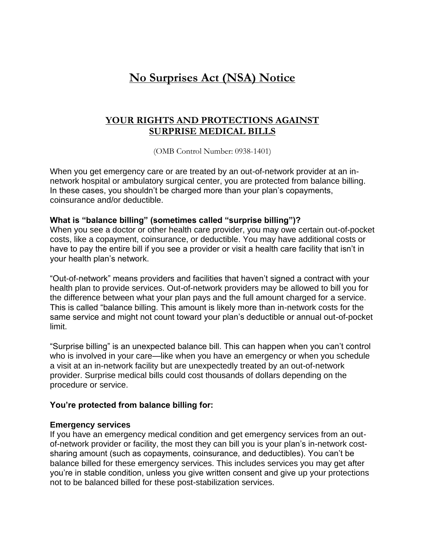# **No Surprises Act (NSA) Notice**

# **YOUR RIGHTS AND PROTECTIONS AGAINST SURPRISE MEDICAL BILLS**

(OMB Control Number: 0938-1401)

When you get emergency care or are treated by an out-of-network provider at an innetwork hospital or ambulatory surgical center, you are protected from balance billing. In these cases, you shouldn't be charged more than your plan's copayments, coinsurance and/or deductible.

# **What is "balance billing" (sometimes called "surprise billing")?**

When you see a doctor or other health care provider, you may owe certain out-of-pocket costs, like a copayment, coinsurance, or deductible. You may have additional costs or have to pay the entire bill if you see a provider or visit a health care facility that isn't in your health plan's network.

"Out-of-network" means providers and facilities that haven't signed a contract with your health plan to provide services. Out-of-network providers may be allowed to bill you for the difference between what your plan pays and the full amount charged for a service. This is called "balance billing. This amount is likely more than in-network costs for the same service and might not count toward your plan's deductible or annual out-of-pocket limit.

"Surprise billing" is an unexpected balance bill. This can happen when you can't control who is involved in your care—like when you have an emergency or when you schedule a visit at an in-network facility but are unexpectedly treated by an out-of-network provider. Surprise medical bills could cost thousands of dollars depending on the procedure or service.

## **You're protected from balance billing for:**

## **Emergency services**

If you have an emergency medical condition and get emergency services from an outof-network provider or facility, the most they can bill you is your plan's in-network costsharing amount (such as copayments, coinsurance, and deductibles). You can't be balance billed for these emergency services. This includes services you may get after you're in stable condition, unless you give written consent and give up your protections not to be balanced billed for these post-stabilization services.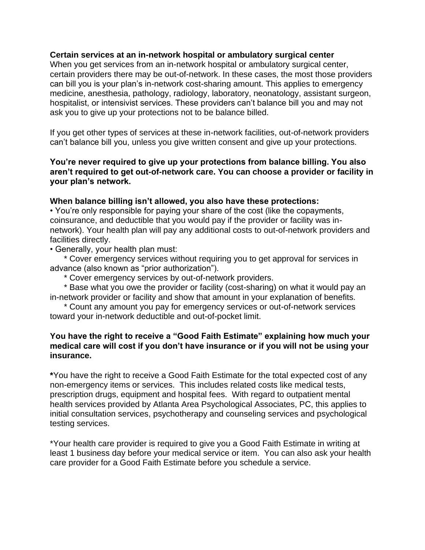#### **Certain services at an in-network hospital or ambulatory surgical center**

When you get services from an in-network hospital or ambulatory surgical center, certain providers there may be out-of-network. In these cases, the most those providers can bill you is your plan's in-network cost-sharing amount. This applies to emergency medicine, anesthesia, pathology, radiology, laboratory, neonatology, assistant surgeon, hospitalist, or intensivist services. These providers can't balance bill you and may not ask you to give up your protections not to be balance billed.

If you get other types of services at these in-network facilities, out-of-network providers can't balance bill you, unless you give written consent and give up your protections.

#### **You're never required to give up your protections from balance billing. You also aren't required to get out-of-network care. You can choose a provider or facility in your plan's network.**

#### **When balance billing isn't allowed, you also have these protections:**

• You're only responsible for paying your share of the cost (like the copayments, coinsurance, and deductible that you would pay if the provider or facility was innetwork). Your health plan will pay any additional costs to out-of-network providers and facilities directly.

• Generally, your health plan must:

\* Cover emergency services without requiring you to get approval for services in advance (also known as "prior authorization").

\* Cover emergency services by out-of-network providers.

\* Base what you owe the provider or facility (cost-sharing) on what it would pay an in-network provider or facility and show that amount in your explanation of benefits.

\* Count any amount you pay for emergency services or out-of-network services toward your in-network deductible and out-of-pocket limit.

## **You have the right to receive a "Good Faith Estimate" explaining how much your medical care will cost if you don't have insurance or if you will not be using your insurance.**

**\***You have the right to receive a Good Faith Estimate for the total expected cost of any non-emergency items or services. This includes related costs like medical tests, prescription drugs, equipment and hospital fees. With regard to outpatient mental health services provided by Atlanta Area Psychological Associates, PC, this applies to initial consultation services, psychotherapy and counseling services and psychological testing services.

\*Your health care provider is required to give you a Good Faith Estimate in writing at least 1 business day before your medical service or item. You can also ask your health care provider for a Good Faith Estimate before you schedule a service.